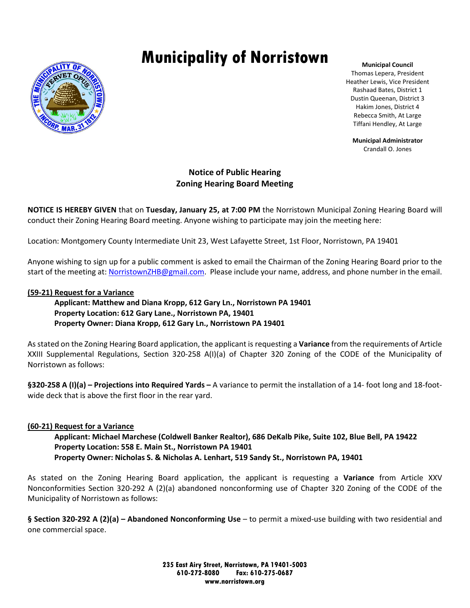# **Municipality of Norristown**



**Municipal Council** Thomas Lepera, President Heather Lewis, Vice President Rashaad Bates, District 1 Dustin Queenan, District 3 Hakim Jones, District 4 Rebecca Smith, At Large Tiffani Hendley, At Large

**Municipal Administrator** Crandall O. Jones

# **Notice of Public Hearing Zoning Hearing Board Meeting**

**NOTICE IS HEREBY GIVEN** that on **Tuesday, January 25, at 7:00 PM** the Norristown Municipal Zoning Hearing Board will conduct their Zoning Hearing Board meeting. Anyone wishing to participate may join the meeting here:

Location: Montgomery County Intermediate Unit 23, West Lafayette Street, 1st Floor, Norristown, PA 19401

Anyone wishing to sign up for a public comment is asked to email the Chairman of the Zoning Hearing Board prior to the start of the meeting at[: NorristownZHB@gmail.com.](mailto:NorristownZHB@gmail.com) Please include your name, address, and phone number in the email.

### **(59-21) Request for a Variance**

 **Applicant: Matthew and Diana Kropp, 612 Gary Ln., Norristown PA 19401 Property Location: 612 Gary Lane., Norristown PA, 19401 Property Owner: Diana Kropp, 612 Gary Ln., Norristown PA 19401**

As stated on the Zoning Hearing Board application, the applicant is requesting a **Variance** from the requirements of Article XXIII Supplemental Regulations, Section 320-258 A(I)(a) of Chapter 320 Zoning of the CODE of the Municipality of Norristown as follows:

**§320-258 A (I)(a) – Projections into Required Yards –** A variance to permit the installation of a 14- foot long and 18-footwide deck that is above the first floor in the rear yard.

## **(60-21) Request for a Variance**

 **Applicant: Michael Marchese (Coldwell Banker Realtor), 686 DeKalb Pike, Suite 102, Blue Bell, PA 19422 Property Location: 558 E. Main St., Norristown PA 19401 Property Owner: Nicholas S. & Nicholas A. Lenhart, 519 Sandy St., Norristown PA, 19401**

As stated on the Zoning Hearing Board application, the applicant is requesting a **Variance** from Article XXV Nonconformities Section 320-292 A (2)(a) abandoned nonconforming use of Chapter 320 Zoning of the CODE of the Municipality of Norristown as follows:

**§ Section 320-292 A (2)(a) – Abandoned Nonconforming Use** – to permit a mixed-use building with two residential and one commercial space.

> **235 East Airy Street, Norristown, PA 19401-5003 610-272-8080 Fax: 610-275-0687 www.norristown.org**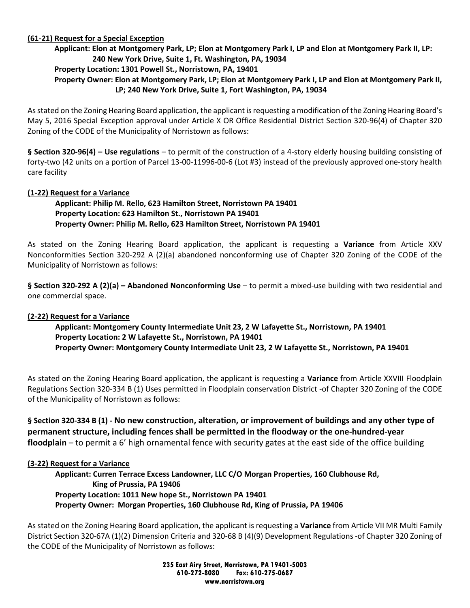## **(61-21) Request for a Special Exception**

### **Applicant: Elon at Montgomery Park, LP; Elon at Montgomery Park I, LP and Elon at Montgomery Park II, LP: 240 New York Drive, Suite 1, Ft. Washington, PA, 19034**

### **Property Location: 1301 Powell St., Norristown, PA, 19401**

## **Property Owner: Elon at Montgomery Park, LP; Elon at Montgomery Park I, LP and Elon at Montgomery Park II, LP; 240 New York Drive, Suite 1, Fort Washington, PA, 19034**

As stated on the Zoning Hearing Board application, the applicant is requesting a modification of the Zoning Hearing Board's May 5, 2016 Special Exception approval under Article X OR Office Residential District Section 320-96(4) of Chapter 320 Zoning of the CODE of the Municipality of Norristown as follows:

**§ Section 320-96(4) – Use regulations** – to permit of the construction of a 4-story elderly housing building consisting of forty-two (42 units on a portion of Parcel 13-00-11996-00-6 (Lot #3) instead of the previously approved one-story health care facility

## **(1-22) Request for a Variance**

## **Applicant: Philip M. Rello, 623 Hamilton Street, Norristown PA 19401 Property Location: 623 Hamilton St., Norristown PA 19401 Property Owner: Philip M. Rello, 623 Hamilton Street, Norristown PA 19401**

As stated on the Zoning Hearing Board application, the applicant is requesting a **Variance** from Article XXV Nonconformities Section 320-292 A (2)(a) abandoned nonconforming use of Chapter 320 Zoning of the CODE of the Municipality of Norristown as follows:

**§ Section 320-292 A (2)(a) – Abandoned Nonconforming Use** – to permit a mixed-use building with two residential and one commercial space.

### **(2-22) Request for a Variance**

## **Applicant: Montgomery County Intermediate Unit 23, 2 W Lafayette St., Norristown, PA 19401 Property Location: 2 W Lafayette St., Norristown, PA 19401 Property Owner: Montgomery County Intermediate Unit 23, 2 W Lafayette St., Norristown, PA 19401**

As stated on the Zoning Hearing Board application, the applicant is requesting a **Variance** from Article XXVIII Floodplain Regulations Section 320-334 B (1) Uses permitted in Floodplain conservation District -of Chapter 320 Zoning of the CODE of the Municipality of Norristown as follows:

# **§ Section 320-334 B (1) - No new construction, alteration, or improvement of buildings and any other type of permanent structure, including fences shall be permitted in the floodway or the one-hundred-year floodplain** – to permit a 6' high ornamental fence with security gates at the east side of the office building

### **(3-22) Request for a Variance**

**Applicant: Curren Terrace Excess Landowner, LLC C/O Morgan Properties, 160 Clubhouse Rd, King of Prussia, PA 19406 Property Location: 1011 New hope St., Norristown PA 19401 Property Owner: Morgan Properties, 160 Clubhouse Rd, King of Prussia, PA 19406**

As stated on the Zoning Hearing Board application, the applicant is requesting a **Variance** from Article VII MR Multi Family District Section 320-67A (1)(2) Dimension Criteria and 320-68 B (4)(9) Development Regulations -of Chapter 320 Zoning of the CODE of the Municipality of Norristown as follows:

> **235 East Airy Street, Norristown, PA 19401-5003 610-272-8080 Fax: 610-275-0687 www.norristown.org**